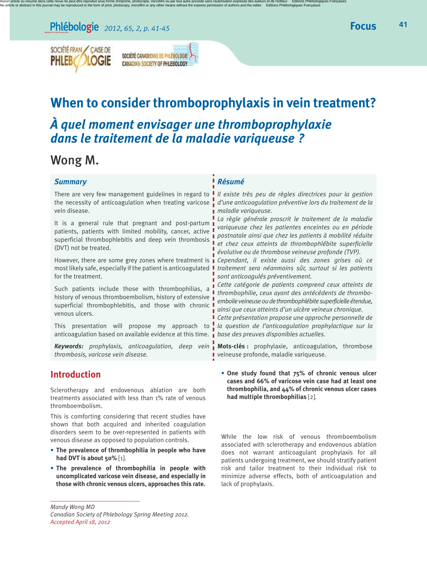## *<sup>2012</sup>, <sup>65</sup>, <sup>2</sup>, p. 41-45* **Focus**



SOCIÉTÉ CANADIEMNE DE PHLÉBOLOGIE CANADIAN SOCIETY OF PHLEBOLOGY

# **When to consider thromboprophylaxis in vein treatment?**

## *À quel moment envisager une thromboprophylaxie dans le traitement de la maladie variqueuse ?*

## Wong M.

| <b>Summary</b>                                                                                                                                                                                   | Résumé                                                                                                                                                                                                                                                                                                                                                                                                                                                                                                                                                                                                                                                                                                                                                                                                                                                                                                                                                                                                                                       |
|--------------------------------------------------------------------------------------------------------------------------------------------------------------------------------------------------|----------------------------------------------------------------------------------------------------------------------------------------------------------------------------------------------------------------------------------------------------------------------------------------------------------------------------------------------------------------------------------------------------------------------------------------------------------------------------------------------------------------------------------------------------------------------------------------------------------------------------------------------------------------------------------------------------------------------------------------------------------------------------------------------------------------------------------------------------------------------------------------------------------------------------------------------------------------------------------------------------------------------------------------------|
| There are very few management guidelines in regard to<br>vein disease.                                                                                                                           | Il existe très peu de règles directrices pour la gestion<br>the necessity of anticoagulation when treating varicose $\frac{1}{2}$ d'une anticoagulation préventive lors du traitement de la<br>■ maladie variqueuse.<br>La règle générale proscrit le traitement de la maladie<br>variqueuse chez les patientes enceintes ou en période<br>postnatale ainsi que chez les patients à mobilité réduite<br>et chez ceux atteints de thrombophlébite superficielle<br>évolutive ou de thrombose veineuse profonde (TVP).<br>However, there are some grey zones where treatment is <i>cependant, il existe aussi des zones grises où ce</i><br>traitement sera néanmoins sûr, surtout si les patients<br>sont anticoagulés préventivement.<br>Cette catégorie de patients comprend ceux atteints de<br>thrombophilie, ceux ayant des antécédents de thrombo-<br>embolie veineuse ou de thrombophlébite superficielle étendue,<br>ainsi que ceux atteints d'un ulcère veineux chronique.<br>Cette présentation propose une approche personnelle de |
| It is a general rule that pregnant and post-partum<br>patients, patients with limited mobility, cancer, active<br>superficial thrombophlebitis and deep vein thrombosis<br>(DVT) not be treated. |                                                                                                                                                                                                                                                                                                                                                                                                                                                                                                                                                                                                                                                                                                                                                                                                                                                                                                                                                                                                                                              |
| most likely safe, especially if the patient is anticoagulated<br>for the treatment.                                                                                                              |                                                                                                                                                                                                                                                                                                                                                                                                                                                                                                                                                                                                                                                                                                                                                                                                                                                                                                                                                                                                                                              |
| Such patients include those with thrombophilias, a<br>history of venous thromboembolism, history of extensive<br>superficial thrombophlebitis, and those with chronic<br>venous ulcers.          |                                                                                                                                                                                                                                                                                                                                                                                                                                                                                                                                                                                                                                                                                                                                                                                                                                                                                                                                                                                                                                              |
| anticoagulation based on available evidence at this time. $\frac{1}{2}$ base des preuves disponibles actuelles.                                                                                  | This presentation will propose my approach to $\frac{1}{2}$ la question de l'anticoagulation prophylactique sur la                                                                                                                                                                                                                                                                                                                                                                                                                                                                                                                                                                                                                                                                                                                                                                                                                                                                                                                           |
| thrombosis, varicose vein disease.                                                                                                                                                               | Keywords: prophylaxis, anticoagulation, deep vein Mots-clés: prophylaxie, anticoagulation, thrombose<br>veineuse profonde, maladie variqueuse.                                                                                                                                                                                                                                                                                                                                                                                                                                                                                                                                                                                                                                                                                                                                                                                                                                                                                               |
| Introduction                                                                                                                                                                                     | • One study found that zs% of chronic venous ulcer                                                                                                                                                                                                                                                                                                                                                                                                                                                                                                                                                                                                                                                                                                                                                                                                                                                                                                                                                                                           |

### **Introduction**

Sclerotherapy and endovenous ablation are both treatments associated with less than 1% rate of venous thromboembolism.

This is comforting considering that recent studies have shown that both acquired and inherited coagulation disorders seem to be over-represented in patients with venous disease as opposed to population controls.

- **The prevalence of thrombophilia in people who have had DVT is about 50%** [1].
- **The prevalence of thrombophilia in people with uncomplicated varicose vein disease, and especially in those with chronic venous ulcers, approaches this rate.**

*Mandy Wong MD Canadian Society of Phlebology Spring Meeting 2012. Accepted April 18, 2012*

• **One study found that 75% of chronic venous ulcer cases and 66% of varicose vein case had at least one thrombophilia, and 44% of chronic venous ulcer cases had multiple thrombophilias** [2].

While the low risk of venous thromboembolism associated with sclerotherapy and endovenous ablation does not warrant anticoagulant prophylaxis for all patients undergoing treatment, we should stratify patient risk and tailor treatment to their individual risk to minimize adverse effects, both of anticoagulation and lack of prophylaxis.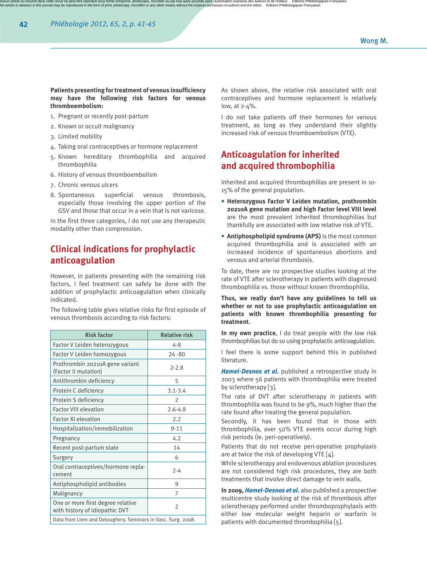#### **Patients presenting fortreatment of venous insufficiency may have the following risk factors for venous thromboembolism:**

- 1. Pregnant or recently post-partum
- 2. Known or occult malignancy
- 3. Limited mobility
- 4. Taking oral contraceptives or hormone replacement
- 5. Known hereditary thrombophilia and acquired thrombophilia
- 6. History of venous thromboembolism
- 7. Chronic venous ulcers
- 8. Spontaneous superficial venous thrombosis, especially those involving the upper portion of the GSV and those that occur in a vein that is not varicose.

In the first three categories, I do not use any therapeutic modality other than compression.

## **Clinical indications for prophylactic anticoagulation**

However, in patients presenting with the remaining risk factors, I feel treatment can safely be done with the addition of prophylactic anticoagulation when clinically indicated.

The following table gives relative risks for first episode of venous thrombosis according to risk factors:

| <b>Risk factor</b>                                                  | <b>Relative risk</b> |
|---------------------------------------------------------------------|----------------------|
| Factor V Leiden heterozygous                                        | $4 - 8$              |
| Factor V Leiden homozygous                                          | 24 - 80              |
| Prothrombin 20210A gene variant<br>(Factor II mutation)             | $2 - 2.8$            |
| Antithrombin deficiency                                             | 5                    |
| Protein C deficiency                                                | $3.1 - 3.4$          |
| Protein S deficiency                                                | $\mathfrak{D}$       |
| <b>Factor VIII elevation</b>                                        | $2.6 - 4.8$          |
| <b>Factor XI elevation</b>                                          | 2.2                  |
| Hospitalization/immobilization                                      | $9 - 11$             |
| Pregnancy                                                           | 4.2                  |
| Recent post-partum state                                            | 14                   |
| Surgery                                                             | 6                    |
| Oral contraceptives/hormone repla-<br>cement                        | $2 - 4$              |
| Antiphospholipid antibodies                                         | 9                    |
| Malignancy                                                          | 7                    |
| One or more first degree relative<br>with history of idiopathic DVT | $\overline{2}$       |
| Data from Liem and Deloughery. Seminars in Vasc. Surg. 2008.        |                      |

As shown above, the relative risk associated with oral contraceptives and hormone replacement is relatively low, at 2-4%.

I do not take patients off their hormones for venous treatment, as long as they understand their slightly increased risk of venous thromboembolism (VTE).

## **Anticoagulation for inherited and acquired thrombophilia**

Inherited and acquired thrombophilias are present in 10- 15% of the general population.

- **Heterozygous Factor V Leiden mutation, prothrombin 20210A gene mutation and high Factor level VIII level** are the most prevalent inherited thrombophilias but thankfully are associated with low relative risk of VTE.
- **Antiphospholipid syndrome (APS)** is the most common acquired thrombophilia and is associated with an increased incidence of spontaneous abortions and venous and arterial thrombosis.

To date, there are no prospective studies looking at the rate of VTE after sclerotherapy in patients with diagnosed thrombophilia vs. those without known thrombophilia.

**Thus, we really don't have any guidelines to tell us whether or not to use prophylactic anticoagulation on patients with known thrombophilia presenting for treatment.**

**In my own practice**, I do treat people with the low risk thrombophilias but do so using prophylactic anticoagulation.

I feel there is some support behind this in published literature.

*Hamel-Desnos et al.* published a retrospective study in 2003 where 56 patients with thrombophilia were treated by sclerotherapy [3].

The rate of DVT after sclerotherapy in patients with thrombophilia was found to be 9%, much higher than the rate found after treating the general population.

Secondly, it has been found that in those with thrombophilia, over 50% VTE events occur during high risk periods (ie. peri-operatively).

Patients that do not receive peri-operative prophylaxis are at twice the risk of developing VTE [4].

While sclerotherapy and endovenous ablation procedures are not considered high risk procedures, they are both treatments that involve direct damage to vein walls.

**In 2009,** *Hamel-Desnos et al.* also published a prospective multicentre study looking at the risk of thrombosis after sclerotherapy performed under thromboprophylaxis with either low molecular weight heparin or warfarin in patients with documented thrombophilia [5].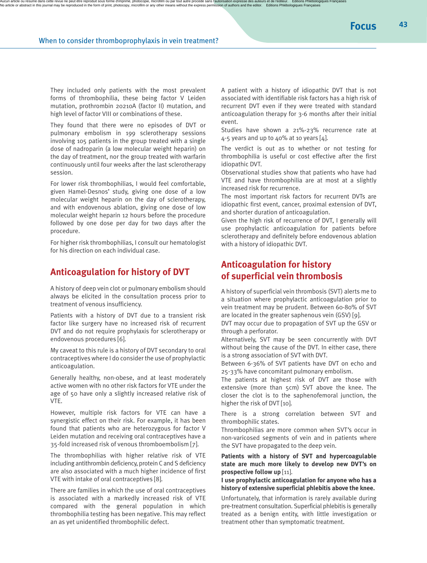They included only patients with the most prevalent forms of thrombophilia, these being factor V Leiden mutation, prothrombin 20210A (factor II) mutation, and high level of factor VIII or combinations of these.

They found that there were no episodes of DVT or pulmonary embolism in 199 sclerotherapy sessions involving 105 patients in the group treated with a single dose of nadroparin (a low molecular weight heparin) on the day of treatment, nor the group treated with warfarin continuously until four weeks after the last sclerotherapy session.

For lower risk thrombophilias, I would feel comfortable, given Hamel-Desnos' study, giving one dose of a low molecular weight heparin on the day of sclerotherapy, and with endovenous ablation, giving one dose of low molecular weight heparin 12 hours before the procedure followed by one dose per day for two days after the procedure.

For higher risk thrombophilias, I consult our hematologist for his direction on each individual case.

#### **Anticoagulation for history of DVT**

A history of deep vein clot or pulmonary embolism should always be elicited in the consultation process prior to treatment of venous insufficiency.

Patients with a history of DVT due to a transient risk factor like surgery have no increased risk of recurrent DVT and do not require prophylaxis for sclerotherapy or endovenous procedures [6].

My caveat to this rule is a history of DVT secondary to oral contraceptiveswhere I do consider the use of prophylactic anticoagulation.

Generally healthy, non-obese, and at least moderately active women with no other risk factors for VTE under the age of 50 have only a slightly increased relative risk of VTE.

However, multiple risk factors for VTE can have a synergistic effect on their risk. For example, it has been found that patients who are heterozygous for factor V Leiden mutation and receiving oral contraceptives have a 35-fold increased risk of venous thromboembolism [7].

The thrombophilias with higher relative risk of VTE including antithrombin deficiency, protein C and S deficiency are also associated with a much higher incidence of first VTE with intake of oral contraceptives [8].

There are families in which the use of oral contraceptives is associated with a markedly increased risk of VTE compared with the general population in which thrombophilia testing has been negative. This may reflect an as yet unidentified thrombophilic defect.

A patient with a history of idiopathic DVT that is not associated with identifiable risk factors has a high risk of recurrent DVT even if they were treated with standard anticoagulation therapy for 3-6 months after their initial event.

Studies have shown a 21%-23% recurrence rate at  $4-5$  years and up to  $40\%$  at 10 years [4].

The verdict is out as to whether or not testing for thrombophilia is useful or cost effective after the first idiopathic DVT.

Observational studies show that patients who have had VTE and have thrombophilia are at most at a slightly increased risk for recurrence.

The most important risk factors for recurrent DVTs are idiopathic first event, cancer, proximal extension of DVT, and shorter duration of anticoagulation.

Given the high risk of recurrence of DVT, I generally will use prophylactic anticoagulation for patients before sclerotherapy and definitely before endovenous ablation with a history of idiopathic DVT.

### **Anticoagulation for history of superficial vein thrombosis**

A history of superficial vein thrombosis (SVT) alerts me to a situation where prophylactic anticoagulation prior to vein treatment may be prudent. Between 60-80% of SVT are located in the greater saphenous vein (GSV) [9].

DVT may occur due to propagation of SVT up the GSV or through a perforator.

Alternatively, SVT may be seen concurrently with DVT without being the cause of the DVT. In either case, there is a strong association of SVT with DVT.

Between 6-36% of SVT patients have DVT on echo and 25-33% have concomitant pulmonary embolism.

The patients at highest risk of DVT are those with extensive (more than 5cm) SVT above the knee. The closer the clot is to the saphenofemoral junction, the higher the risk of DVT [10].

There is a strong correlation between SVT and thrombophilic states.

Thrombophilias are more common when SVT's occur in non-varicosed segments of vein and in patients where the SVT have propagated to the deep vein.

**Patients with a history of SVT and hypercoagulable state are much more likely to develop new DVT's on prospective follow up** [11].

**I use prophylactic anticoagulation for anyone who has a history of extensive superficial phlebitis above the knee.**

Unfortunately, that information is rarely available during pre-treatment consultation. Superficial phlebitis is generally treated as a benign entity, with little investigation or treatment other than symptomatic treatment.

**Focus**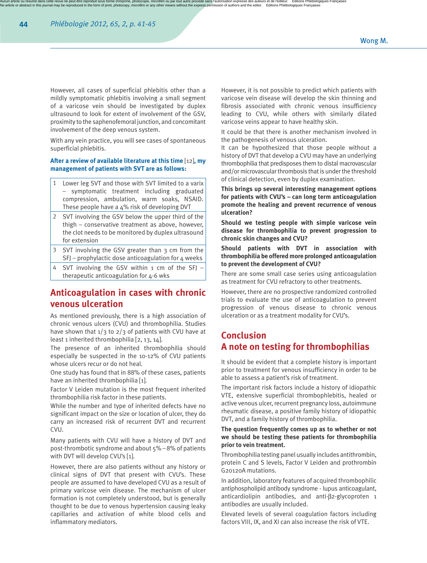However, all cases of superficial phlebitis other than a mildly symptomatic phlebitis involving a small segment of a varicose vein should be investigated by duplex ultrasound to look for extent of involvement of the GSV, proximity to the saphenofemoral junction, and concomitant involvement of the deep venous system.

With any vein practice, you will see cases of spontaneous superficial phlebitis.

#### **After a review of available literature at this time** [12]**, my management of patients with SVT are as follows:**

- 1 Lower leg SVT and those with SVT limited to a varix – symptomatic treatment including graduated compression, ambulation, warm soaks, NSAID. These people have a 4% risk of developing DVT
- 2 SVT involving the GSV below the upper third of the thigh – conservative treatment as above, however, the clot needs to be monitored by duplex ultrasound for extension
- 3 SVT involving the GSV greater than 3 cm from the  $SFJ$  – prophylactic dose anticoagulation for 4 weeks
- SVT involving the GSV within 1 cm of the SFJ therapeutic anticoagulation for 4-6 wks

### **Anticoagulation in cases with chronic venous ulceration**

As mentioned previously, there is a high association of chronic venous ulcers (CVU) and thrombophilia. Studies have shown that  $1/3$  to  $2/3$  of patients with CVU have at least 1 inherited thrombophilia [2, 13, 14].

The presence of an inherited thrombophilia should especially be suspected in the 10-12% of CVU patients whose ulcers recur or do not heal.

One study has found that in 88% of these cases, patients have an inherited thrombophilia [1].

Factor V Leiden mutation is the most frequent inherited thrombophilia risk factor in these patients.

While the number and type of inherited defects have no significant impact on the size or location of ulcer, they do carry an increased risk of recurrent DVT and recurrent CVU.

Many patients with CVU will have a history of DVT and post-thrombotic syndrome and about 5% –8% of patients with DVT will develop CVU's [1].

However, there are also patients without any history or clinical signs of DVT that present with CVU's. These people are assumed to have developed CVU as a result of primary varicose vein disease. The mechanism of ulcer formation is not completely understood, but is generally thought to be due to venous hypertension causing leaky capillaries and activation of white blood cells and inflammatory mediators.

However, it is not possible to predict which patients with varicose vein disease will develop the skin thinning and fibrosis associated with chronic venous insufficiency leading to CVU, while others with similarly dilated varicose veins appear to have healthy skin.

It could be that there is another mechanism involved in the pathogenesis of venous ulceration.

It can be hypothesized that those people without a history of DVT that develop a CVU may have an underlying thrombophilia that predisposes them to distal macrovascular and/or microvascular thrombosis that is under the threshold of clinical detection, even by duplex examination.

**This brings up several interesting management options for patients with CVU's – can long term anticoagulation promote the healing and prevent recurrence of venous ulceration?**

**Should we testing people with simple varicose vein disease for thrombophilia to prevent progression to chronic skin changes and CVU?**

**Should patients with DVT in association with thrombophilia be offered more prolonged anticoagulation to prevent the development of CVU?**

There are some small case series using anticoagulation as treatment for CVU refractory to other treatments.

However, there are no prospective randomized controlled trials to evaluate the use of anticoagulation to prevent progression of venous disease to chronic venous ulceration or as a treatment modality for CVU's.

## **Conclusion A note on testing for thrombophilias**

It should be evident that a complete history is important prior to treatment for venous insufficiency in order to be able to assess a patient's risk of treatment.

The important risk factors include a history of idiopathic VTE, extensive superficial thrombophlebitis, healed or active venous ulcer, recurrent pregnancy loss, autoimmune rheumatic disease, a positive family history of idiopathic DVT, and a family history of thrombophilia.

#### **The question frequently comes up as to whether or not we should be testing these patients for thrombophilia prior to vein treatment.**

Thrombophilia testing panel usually includes antithrombin, protein C and S levels, Factor V Leiden and prothrombin G20120A mutations.

In addition, laboratory features of acquired thrombophilic antiphospholipid antibody syndrome - lupus anticoagulant, anticardiolipin antibodies, and anti- $\beta$ 2-glycoproten 1 antibodies are usually included.

Elevated levels of several coagulation factors including factors VIII, IX, and XI can also increase the risk of VTE.